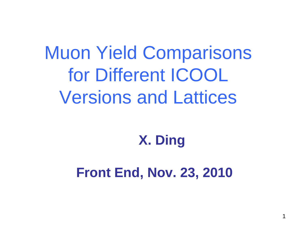# Muon Yield Comparisons for Different ICOOL Versions and Lattices

#### **X. Ding**

#### **Front End, Nov. 23, 2010**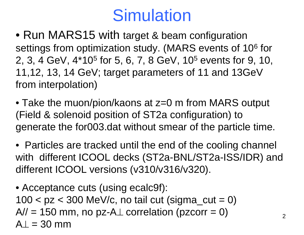#### **Simulation**

- Run MARS15 with target & beam configuration settings from optimization study. (MARS events of 106 for 2, 3, 4 GeV, 4\*105 for 5, 6, 7, 8 GeV, 105 events for 9, 10, 11,12, 13, 14 GeV; target parameters of 11 and 13GeV from interpolation)
- Take the muon/pion/kaons at z=0 m from MARS output (Field & solenoid position of ST2a configuration) to generate the for003.dat without smear of the particle time.
- Particles are tracked until the end of the cooling channel with different ICOOL decks (ST2a-BNL/ST2a-ISS/IDR) and different ICOOL versions (v310/v316/v320).
- Acceptance cuts (using ecalc9f):  $100 < pz < 300$  MeV/c, no tail cut (sigma\_cut = 0)  $A$ // = 150 mm, no pz-A $\perp$  correlation (pzcorr = 0)  $A = 30$  mm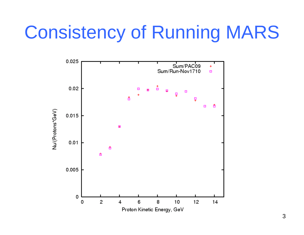# Consistency of Running MARS

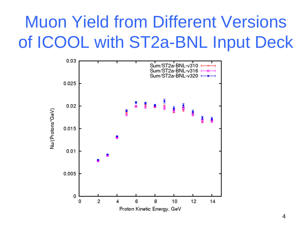# Muon Yield from Different Versions of ICOOL with ST2a-BNL Input Deck

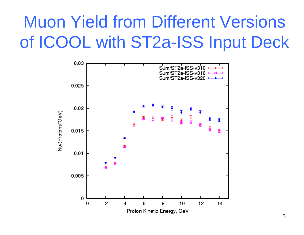# Muon Yield from Different Versions of ICOOL with ST2a-ISS Input Deck

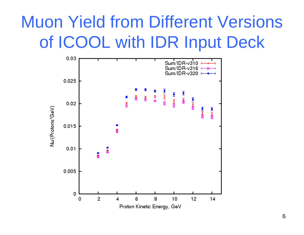## Muon Yield from Different Versions of ICOOL with IDR Input Deck

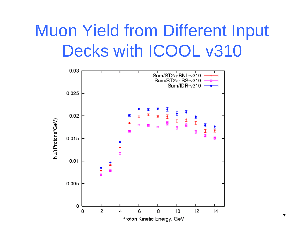### Muon Yield from Different Input Decks with ICOOL v310

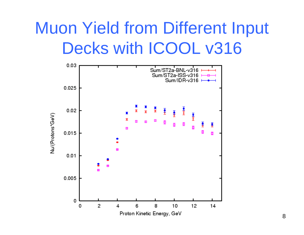## Muon Yield from Different Input Decks with ICOOL v316

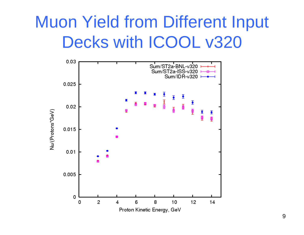#### Muon Yield from Different Input Decks with ICOOL v320